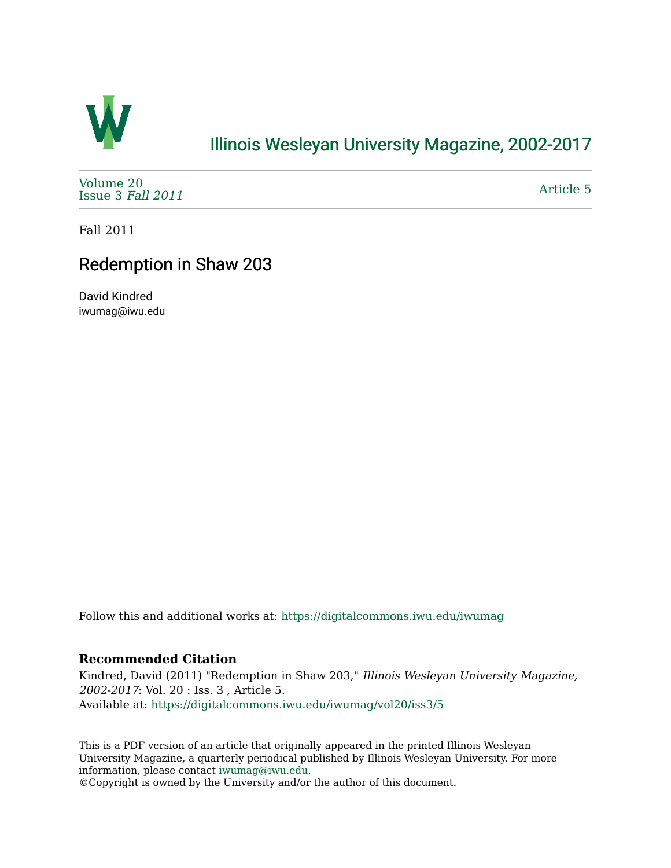

## [Illinois Wesleyan University Magazine, 2002-2017](https://digitalcommons.iwu.edu/iwumag)

[Volume 20](https://digitalcommons.iwu.edu/iwumag/vol20)  [Issue 3](https://digitalcommons.iwu.edu/iwumag/vol20/iss3) Fall 2011

[Article 5](https://digitalcommons.iwu.edu/iwumag/vol20/iss3/5) 

Fall 2011

## Redemption in Shaw 203

David Kindred iwumag@iwu.edu

Follow this and additional works at: [https://digitalcommons.iwu.edu/iwumag](https://digitalcommons.iwu.edu/iwumag?utm_source=digitalcommons.iwu.edu%2Fiwumag%2Fvol20%2Fiss3%2F5&utm_medium=PDF&utm_campaign=PDFCoverPages) 

## **Recommended Citation**

Kindred, David (2011) "Redemption in Shaw 203," Illinois Wesleyan University Magazine, 2002-2017: Vol. 20 : Iss. 3 , Article 5. Available at: [https://digitalcommons.iwu.edu/iwumag/vol20/iss3/5](https://digitalcommons.iwu.edu/iwumag/vol20/iss3/5?utm_source=digitalcommons.iwu.edu%2Fiwumag%2Fvol20%2Fiss3%2F5&utm_medium=PDF&utm_campaign=PDFCoverPages)

This is a PDF version of an article that originally appeared in the printed Illinois Wesleyan University Magazine, a quarterly periodical published by Illinois Wesleyan University. For more information, please contact [iwumag@iwu.edu](mailto:iwumag@iwu.edu).

©Copyright is owned by the University and/or the author of this document.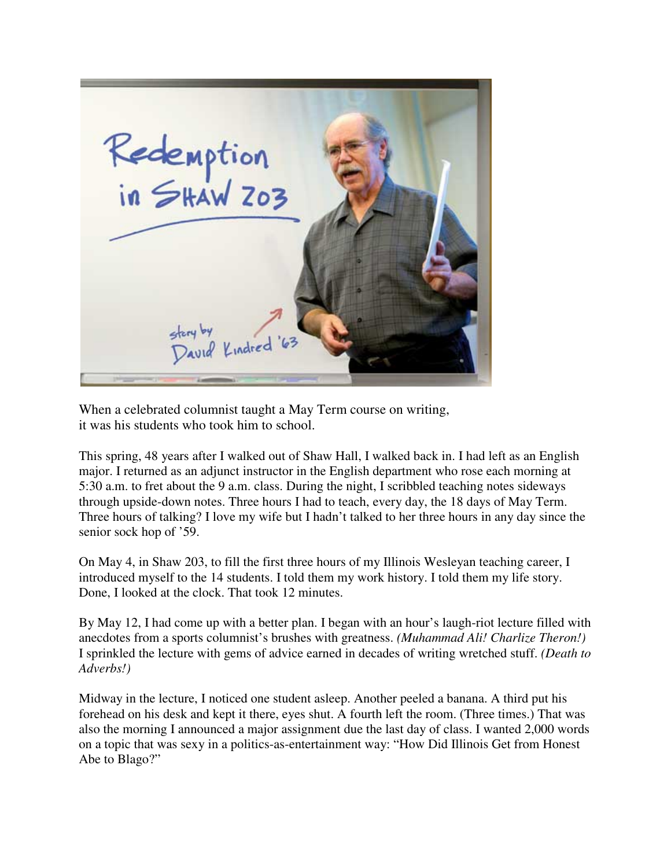

When a celebrated columnist taught a May Term course on writing, it was his students who took him to school.

This spring, 48 years after I walked out of Shaw Hall, I walked back in. I had left as an English major. I returned as an adjunct instructor in the English department who rose each morning at 5:30 a.m. to fret about the 9 a.m. class. During the night, I scribbled teaching notes sideways through upside-down notes. Three hours I had to teach, every day, the 18 days of May Term. Three hours of talking? I love my wife but I hadn't talked to her three hours in any day since the senior sock hop of '59.

On May 4, in Shaw 203, to fill the first three hours of my Illinois Wesleyan teaching career, I introduced myself to the 14 students. I told them my work history. I told them my life story. Done, I looked at the clock. That took 12 minutes.

By May 12, I had come up with a better plan. I began with an hour's laugh-riot lecture filled with anecdotes from a sports columnist's brushes with greatness. *(Muhammad Ali! Charlize Theron!)* I sprinkled the lecture with gems of advice earned in decades of writing wretched stuff. *(Death to Adverbs!)*

Midway in the lecture, I noticed one student asleep. Another peeled a banana. A third put his forehead on his desk and kept it there, eyes shut. A fourth left the room. (Three times.) That was also the morning I announced a major assignment due the last day of class. I wanted 2,000 words on a topic that was sexy in a politics-as-entertainment way: "How Did Illinois Get from Honest Abe to Blago?"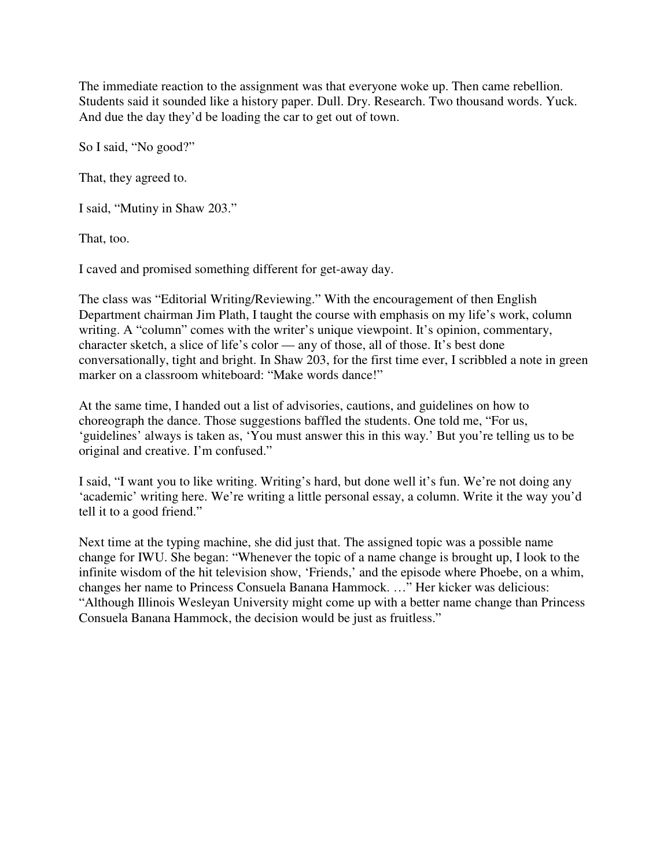The immediate reaction to the assignment was that everyone woke up. Then came rebellion. Students said it sounded like a history paper. Dull. Dry. Research. Two thousand words. Yuck. And due the day they'd be loading the car to get out of town.

So I said, "No good?"

That, they agreed to.

I said, "Mutiny in Shaw 203."

That, too.

I caved and promised something different for get-away day.

The class was "Editorial Writing/Reviewing." With the encouragement of then English Department chairman Jim Plath, I taught the course with emphasis on my life's work, column writing. A "column" comes with the writer's unique viewpoint. It's opinion, commentary, character sketch, a slice of life's color — any of those, all of those. It's best done conversationally, tight and bright. In Shaw 203, for the first time ever, I scribbled a note in green marker on a classroom whiteboard: "Make words dance!"

At the same time, I handed out a list of advisories, cautions, and guidelines on how to choreograph the dance. Those suggestions baffled the students. One told me, "For us, 'guidelines' always is taken as, 'You must answer this in this way.' But you're telling us to be original and creative. I'm confused."

I said, "I want you to like writing. Writing's hard, but done well it's fun. We're not doing any 'academic' writing here. We're writing a little personal essay, a column. Write it the way you'd tell it to a good friend."

Next time at the typing machine, she did just that. The assigned topic was a possible name change for IWU. She began: "Whenever the topic of a name change is brought up, I look to the infinite wisdom of the hit television show, 'Friends,' and the episode where Phoebe, on a whim, changes her name to Princess Consuela Banana Hammock. …" Her kicker was delicious: "Although Illinois Wesleyan University might come up with a better name change than Princess Consuela Banana Hammock, the decision would be just as fruitless."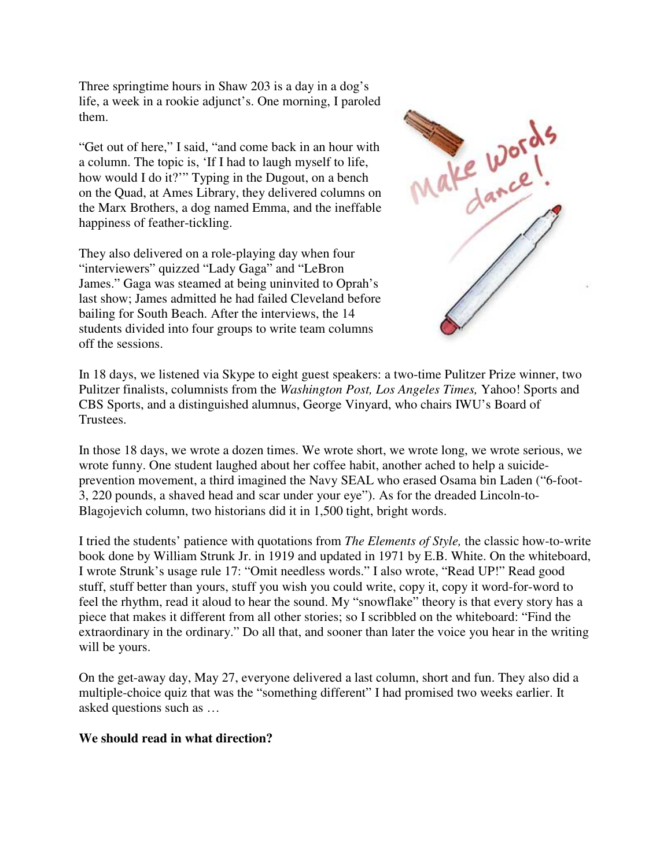Three springtime hours in Shaw 203 is a day in a dog's life, a week in a rookie adjunct's. One morning, I paroled them.

"Get out of here," I said, "and come back in an hour with a column. The topic is, 'If I had to laugh myself to life, how would I do it?'" Typing in the Dugout, on a bench on the Quad, at Ames Library, they delivered columns on the Marx Brothers, a dog named Emma, and the ineffable happiness of feather-tickling.

They also delivered on a role-playing day when four "interviewers" quizzed "Lady Gaga" and "LeBron James." Gaga was steamed at being uninvited to Oprah's last show; James admitted he had failed Cleveland before bailing for South Beach. After the interviews, the 14 students divided into four groups to write team columns off the sessions.



In 18 days, we listened via Skype to eight guest speakers: a two-time Pulitzer Prize winner, two Pulitzer finalists, columnists from the *Washington Post, Los Angeles Times,* Yahoo! Sports and CBS Sports, and a distinguished alumnus, George Vinyard, who chairs IWU's Board of Trustees.

In those 18 days, we wrote a dozen times. We wrote short, we wrote long, we wrote serious, we wrote funny. One student laughed about her coffee habit, another ached to help a suicideprevention movement, a third imagined the Navy SEAL who erased Osama bin Laden ("6-foot-3, 220 pounds, a shaved head and scar under your eye"). As for the dreaded Lincoln-to-Blagojevich column, two historians did it in 1,500 tight, bright words.

I tried the students' patience with quotations from *The Elements of Style,* the classic how-to-write book done by William Strunk Jr. in 1919 and updated in 1971 by E.B. White. On the whiteboard, I wrote Strunk's usage rule 17: "Omit needless words." I also wrote, "Read UP!" Read good stuff, stuff better than yours, stuff you wish you could write, copy it, copy it word-for-word to feel the rhythm, read it aloud to hear the sound. My "snowflake" theory is that every story has a piece that makes it different from all other stories; so I scribbled on the whiteboard: "Find the extraordinary in the ordinary." Do all that, and sooner than later the voice you hear in the writing will be yours.

On the get-away day, May 27, everyone delivered a last column, short and fun. They also did a multiple-choice quiz that was the "something different" I had promised two weeks earlier. It asked questions such as …

## **We should read in what direction?**